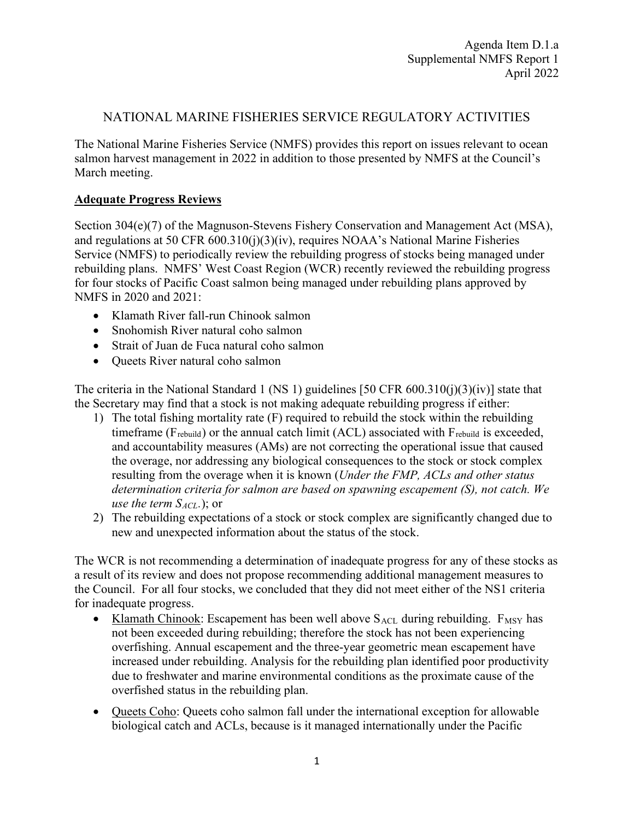## NATIONAL MARINE FISHERIES SERVICE REGULATORY ACTIVITIES

The National Marine Fisheries Service (NMFS) provides this report on issues relevant to ocean salmon harvest management in 2022 in addition to those presented by NMFS at the Council's March meeting.

## **Adequate Progress Reviews**

Section 304(e)(7) of the Magnuson-Stevens Fishery Conservation and Management Act (MSA), and regulations at 50 CFR 600.310(j)(3)(iv), requires NOAA's National Marine Fisheries Service (NMFS) to periodically review the rebuilding progress of stocks being managed under rebuilding plans. NMFS' West Coast Region (WCR) recently reviewed the rebuilding progress for four stocks of Pacific Coast salmon being managed under rebuilding plans approved by NMFS in 2020 and 2021:

- Klamath River fall-run Chinook salmon
- Snohomish River natural coho salmon
- Strait of Juan de Fuca natural coho salmon
- Queets River natural coho salmon

The criteria in the National Standard 1 (NS 1) guidelines [50 CFR  $600.310(i)(3)(iv)$ ] state that the Secretary may find that a stock is not making adequate rebuilding progress if either:

- 1) The total fishing mortality rate (F) required to rebuild the stock within the rebuilding timeframe ( $F_{rebuild}$ ) or the annual catch limit (ACL) associated with  $F_{rebuild}$  is exceeded, and accountability measures (AMs) are not correcting the operational issue that caused the overage, nor addressing any biological consequences to the stock or stock complex resulting from the overage when it is known (*Under the FMP, ACLs and other status determination criteria for salmon are based on spawning escapement (S), not catch. We use the term*  $S_{ACL}$ .); or
- 2) The rebuilding expectations of a stock or stock complex are significantly changed due to new and unexpected information about the status of the stock.

The WCR is not recommending a determination of inadequate progress for any of these stocks as a result of its review and does not propose recommending additional management measures to the Council. For all four stocks, we concluded that they did not meet either of the NS1 criteria for inadequate progress.

- Klamath Chinook: Escapement has been well above  $S_{\text{ACL}}$  during rebuilding.  $F_{\text{MSY}}$  has not been exceeded during rebuilding; therefore the stock has not been experiencing overfishing. Annual escapement and the three-year geometric mean escapement have increased under rebuilding. Analysis for the rebuilding plan identified poor productivity due to freshwater and marine environmental conditions as the proximate cause of the overfished status in the rebuilding plan.
- Queets Coho: Queets coho salmon fall under the international exception for allowable biological catch and ACLs, because is it managed internationally under the Pacific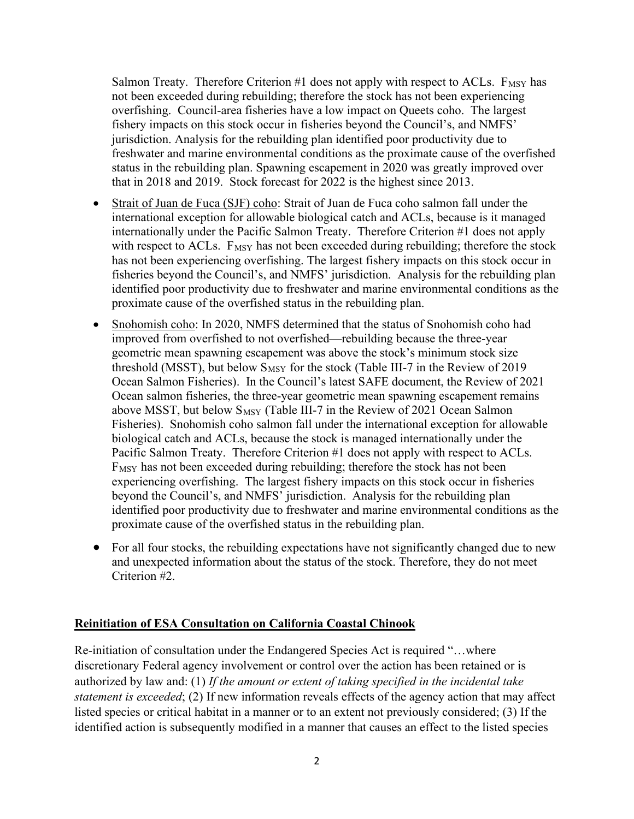Salmon Treaty. Therefore Criterion  $#1$  does not apply with respect to ACLs.  $F_{MSY}$  has not been exceeded during rebuilding; therefore the stock has not been experiencing overfishing. Council-area fisheries have a low impact on Queets coho. The largest fishery impacts on this stock occur in fisheries beyond the Council's, and NMFS' jurisdiction. Analysis for the rebuilding plan identified poor productivity due to freshwater and marine environmental conditions as the proximate cause of the overfished status in the rebuilding plan. Spawning escapement in 2020 was greatly improved over that in 2018 and 2019. Stock forecast for 2022 is the highest since 2013.

- Strait of Juan de Fuca (SJF) coho: Strait of Juan de Fuca coho salmon fall under the international exception for allowable biological catch and ACLs, because is it managed internationally under the Pacific Salmon Treaty. Therefore Criterion #1 does not apply with respect to ACLs.  $F_{MSY}$  has not been exceeded during rebuilding; therefore the stock has not been experiencing overfishing. The largest fishery impacts on this stock occur in fisheries beyond the Council's, and NMFS' jurisdiction. Analysis for the rebuilding plan identified poor productivity due to freshwater and marine environmental conditions as the proximate cause of the overfished status in the rebuilding plan.
- Snohomish coho: In 2020, NMFS determined that the status of Snohomish coho had improved from overfished to not overfished—rebuilding because the three-year geometric mean spawning escapement was above the stock's minimum stock size threshold (MSST), but below  $S_{MSY}$  for the stock (Table III-7 in the Review of 2019 Ocean Salmon Fisheries). In the Council's latest SAFE document, the Review of 2021 Ocean salmon fisheries, the three-year geometric mean spawning escapement remains above MSST, but below  $S_{MSY}$  (Table III-7 in the Review of 2021 Ocean Salmon Fisheries). Snohomish coho salmon fall under the international exception for allowable biological catch and ACLs, because the stock is managed internationally under the Pacific Salmon Treaty. Therefore Criterion #1 does not apply with respect to ACLs.  $F_{MSY}$  has not been exceeded during rebuilding; therefore the stock has not been experiencing overfishing. The largest fishery impacts on this stock occur in fisheries beyond the Council's, and NMFS' jurisdiction. Analysis for the rebuilding plan identified poor productivity due to freshwater and marine environmental conditions as the proximate cause of the overfished status in the rebuilding plan.
- For all four stocks, the rebuilding expectations have not significantly changed due to new and unexpected information about the status of the stock. Therefore, they do not meet Criterion #2.

## **Reinitiation of ESA Consultation on California Coastal Chinook**

Re-initiation of consultation under the Endangered Species Act is required "…where discretionary Federal agency involvement or control over the action has been retained or is authorized by law and: (1) *If the amount or extent of taking specified in the incidental take statement is exceeded*; (2) If new information reveals effects of the agency action that may affect listed species or critical habitat in a manner or to an extent not previously considered; (3) If the identified action is subsequently modified in a manner that causes an effect to the listed species